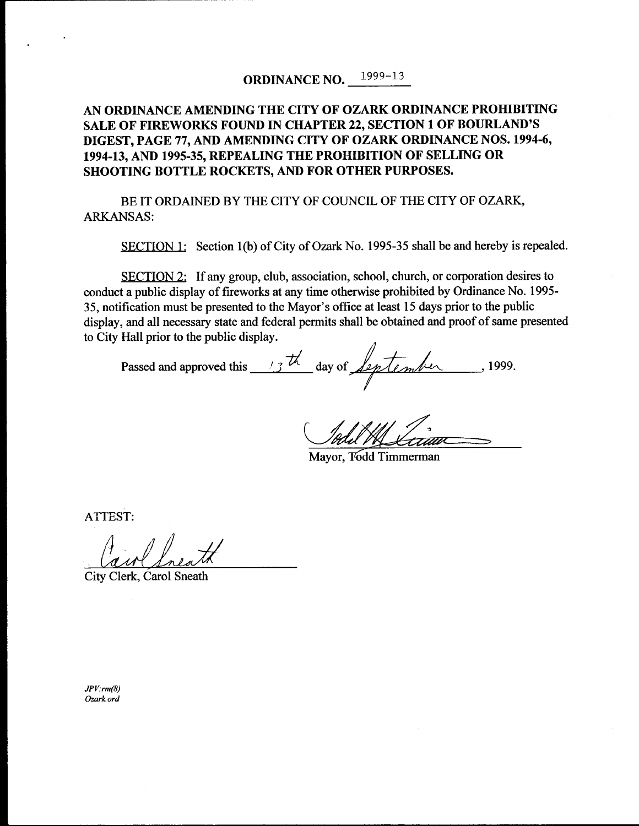## ORDINANCE NO. 1999-13

## AN ORDINANCE AMENDING THE CITY OF OZARK ORDINANCE PROHIBITING SALE OF FIREWORKS FOUND IN CHAPTER 22, SECTION 1 OF BOURLAND'S DIGEST, PAGE 77, AND AMENDING CITY OF OZARK ORDINANCE NOS. 1994-6, 1994-13, AND 1995-35, REPEALING THE PROHIBITION OF SELLING OR SHOOTING BOTTLE ROCKETS, AND FOR OTHER PURPOSES.

BE IT ORDAINED BY THE CITY OF COUNCIL OF THE CITY OF OZARK, ARKANSAS:

SECTION 1: Section 1(b) of City of Ozark No. 1995-35 shall be and hereby is repealed.

SECTION 2: If any group, club, association, school, church, or corporation desires to conduct a public display of fireworks at any time otherwise prohibited by Ordinance No. 1995- 35, notification must be presented to the Mayor' <sup>s</sup> office at least 15 days prior to the public display, and all necessary state and federal permits shall be obtained and proof of same presented to City Hall prior to the public display.

Passed and approved this  $\frac{13\text{th}}{4}$  day of *Leptember*, 1999.

Mayor, T6dd Timmerman

ATTEST:

City Clerk, Carol Sneath

 $JPV:rm(8)$ Ozark ord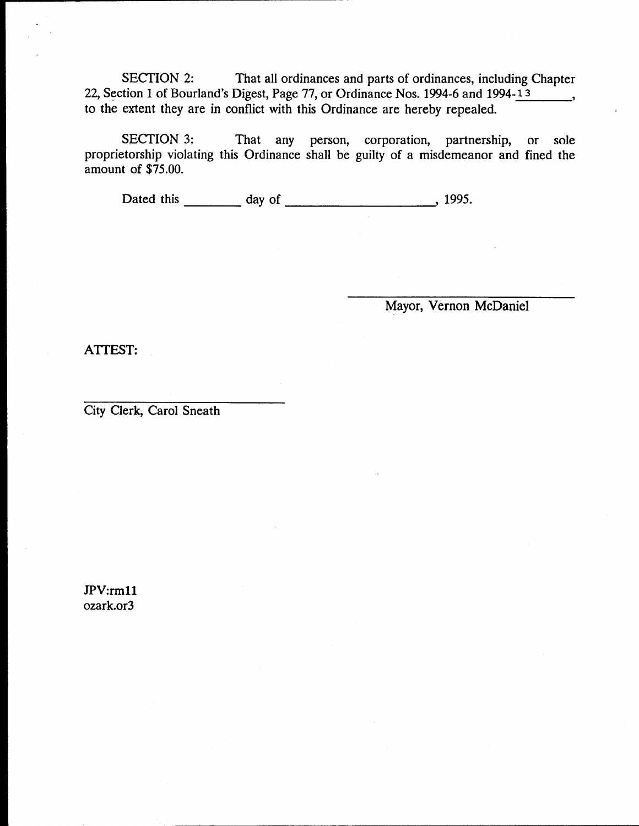SECTION 2: That all ordinances and parts of ordinances, including Chapter 22, Section 1 of Bourland's Digest, Page 77, or Ordinance Nos. 1994-6 and 1994-13  $\sim$   $\sim$ to the extent they are in conflict with this Ordinance are hereby repealed.

SECTION 3: That any person, corporation, partnership, or sole proprietorship violating this Ordinance shall be guilty of a misdemeanor and fined the amount of \$75.00.

Dated this day of 1995.

Mayor, Vernon McDaniel

ATTEST:

City Clerk, Carol Sneath

JPV:rm11 ozark.or3